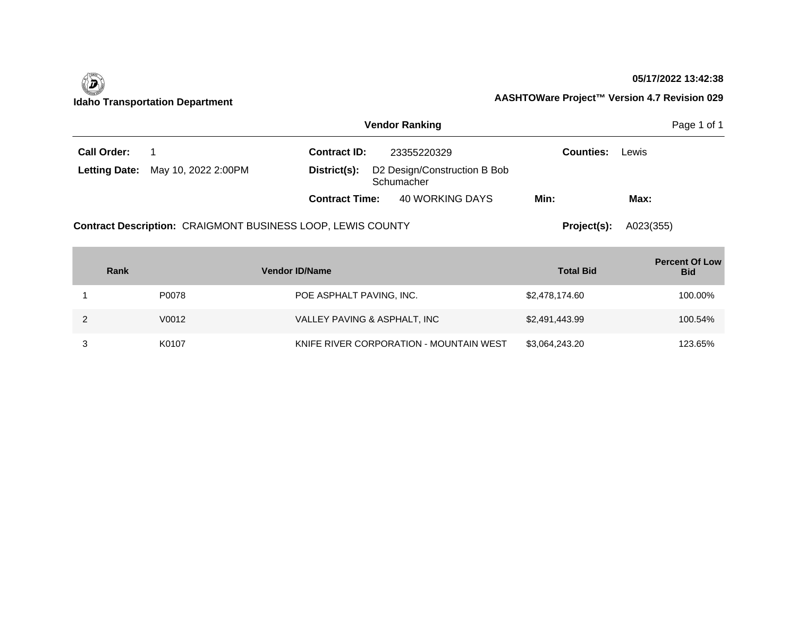

#### **05/17/2022 13:42:38**

| <b>Vendor Ranking</b> |                                                                    |                       |                                            |                  |           |  |
|-----------------------|--------------------------------------------------------------------|-----------------------|--------------------------------------------|------------------|-----------|--|
| <b>Call Order:</b>    |                                                                    | <b>Contract ID:</b>   | 23355220329                                | <b>Counties:</b> | Lewis     |  |
|                       | <b>Letting Date:</b> May 10, 2022 2:00PM                           | District(s):          | D2 Design/Construction B Bob<br>Schumacher |                  |           |  |
|                       |                                                                    | <b>Contract Time:</b> | 40 WORKING DAYS                            | Min:             | Max:      |  |
|                       | <b>Contract Description: CRAIGMONT BUSINESS LOOP, LEWIS COUNTY</b> |                       |                                            | Project(s):      | A023(355) |  |

| Rank  | <b>Vendor ID/Name</b>                   | <b>Total Bid</b> | <b>Percent Of Low</b><br><b>Bid</b> |
|-------|-----------------------------------------|------------------|-------------------------------------|
| P0078 | POE ASPHALT PAVING, INC.                | \$2,478,174.60   | 100.00%                             |
| V0012 | VALLEY PAVING & ASPHALT, INC            | \$2,491,443.99   | 100.54%                             |
| K0107 | KNIFE RIVER CORPORATION - MOUNTAIN WEST | \$3,064,243.20   | 123.65%                             |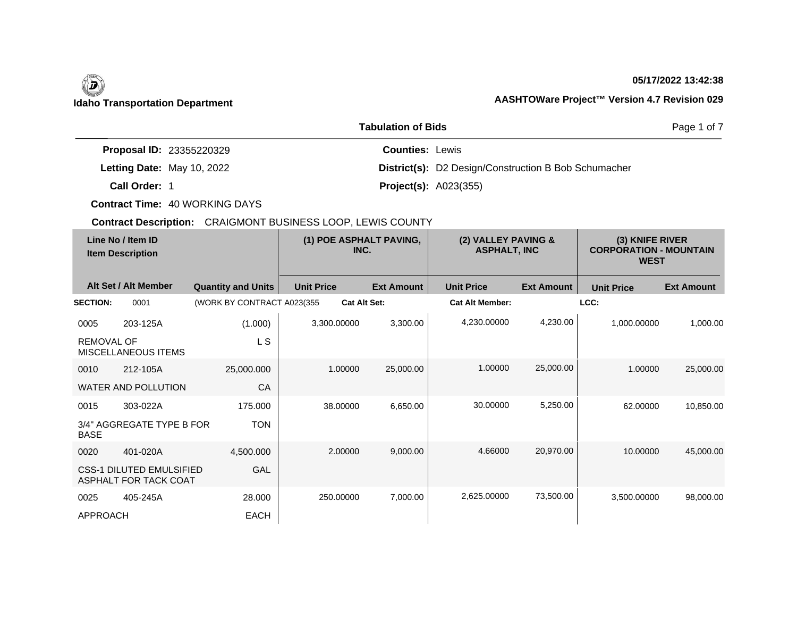#### **05/17/2022 13:42:38**

### **Idaho Transportation Department AASHTOWare Project™ Version 4.7 Revision 029**

|                                 | <b>Tabulation of Bids</b>                                   | Page 1 of 7 |
|---------------------------------|-------------------------------------------------------------|-------------|
| <b>Proposal ID: 23355220329</b> | <b>Counties: Lewis</b>                                      |             |
| Letting Date: May 10, 2022      | <b>District(s):</b> D2 Design/Construction B Bob Schumacher |             |
| Call Order: 1                   | <b>Project(s): A023(355)</b>                                |             |

**Contract Time:** 40 WORKING DAYS

| Line No / Item ID<br><b>Item Description</b> |                                                          | (1) POE ASPHALT PAVING,<br>INC. |                     | (2) VALLEY PAVING &<br><b>ASPHALT, INC</b> |                        | (3) KNIFE RIVER<br><b>CORPORATION - MOUNTAIN</b><br><b>WEST</b> |                   |                   |
|----------------------------------------------|----------------------------------------------------------|---------------------------------|---------------------|--------------------------------------------|------------------------|-----------------------------------------------------------------|-------------------|-------------------|
|                                              | Alt Set / Alt Member                                     | <b>Quantity and Units</b>       | <b>Unit Price</b>   | <b>Ext Amount</b>                          | <b>Unit Price</b>      | <b>Ext Amount</b>                                               | <b>Unit Price</b> | <b>Ext Amount</b> |
| <b>SECTION:</b>                              | 0001                                                     | (WORK BY CONTRACT A023(355)     | <b>Cat Alt Set:</b> |                                            | <b>Cat Alt Member:</b> |                                                                 | LCC:              |                   |
| 0005                                         | 203-125A                                                 | (1.000)                         | 3,300.00000         | 3,300.00                                   | 4,230.00000            | 4,230.00                                                        | 1,000.00000       | 1,000.00          |
| <b>REMOVAL OF</b>                            | MISCELLANEOUS ITEMS                                      | L S                             |                     |                                            |                        |                                                                 |                   |                   |
| 0010                                         | 212-105A                                                 | 25,000.000                      | 1.00000             | 25,000.00                                  | 1.00000                | 25,000.00                                                       | 1.00000           | 25,000.00         |
|                                              | <b>WATER AND POLLUTION</b>                               | CA                              |                     |                                            |                        |                                                                 |                   |                   |
| 0015                                         | 303-022A                                                 | 175.000                         | 38.00000            | 6,650.00                                   | 30.00000               | 5,250.00                                                        | 62.00000          | 10,850.00         |
| <b>BASE</b>                                  | 3/4" AGGREGATE TYPE B FOR                                | <b>TON</b>                      |                     |                                            |                        |                                                                 |                   |                   |
| 0020                                         | 401-020A                                                 | 4,500.000                       | 2.00000             | 9,000.00                                   | 4.66000                | 20,970.00                                                       | 10.00000          | 45,000.00         |
|                                              | <b>CSS-1 DILUTED EMULSIFIED</b><br>ASPHALT FOR TACK COAT | GAL                             |                     |                                            |                        |                                                                 |                   |                   |
| 0025                                         | 405-245A                                                 | 28.000                          | 250.00000           | 7,000.00                                   | 2,625.00000            | 73,500.00                                                       | 3,500.00000       | 98,000.00         |
| <b>APPROACH</b>                              |                                                          | <b>EACH</b>                     |                     |                                            |                        |                                                                 |                   |                   |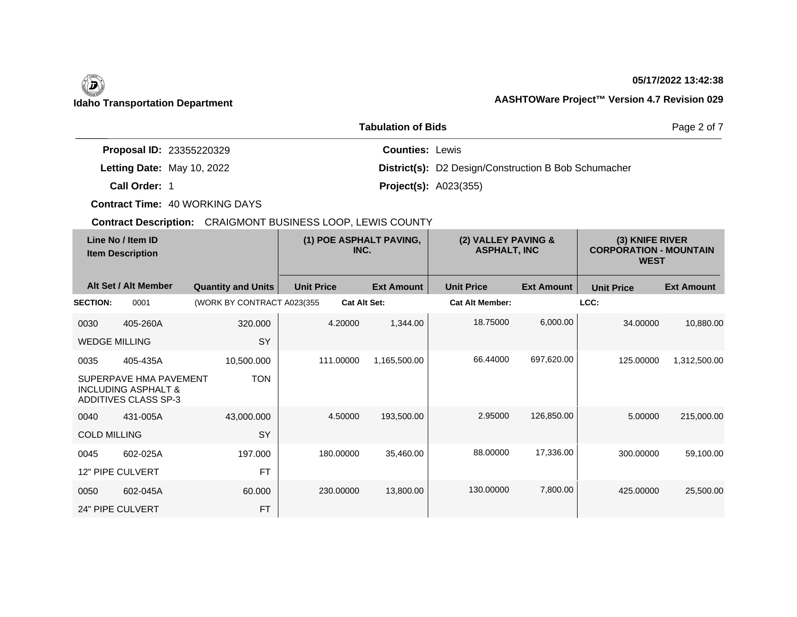#### **05/17/2022 13:42:38**

### **Idaho Transportation Department AASHTOWare Project™ Version 4.7 Revision 029**

|                                 | <b>Tabulation of Bids</b>                                   | Page 2 of 7 |
|---------------------------------|-------------------------------------------------------------|-------------|
| <b>Proposal ID: 23355220329</b> | <b>Counties: Lewis</b>                                      |             |
| Letting Date: May 10, 2022      | <b>District(s):</b> D2 Design/Construction B Bob Schumacher |             |
| Call Order: 1                   | <b>Project(s): A023(355)</b>                                |             |

**Contract Time:** 40 WORKING DAYS

| Line No / Item ID<br><b>Item Description</b> |                                                                                         | (1) POE ASPHALT PAVING,<br>INC. |                     | (2) VALLEY PAVING &<br><b>ASPHALT, INC</b> |                        | (3) KNIFE RIVER<br><b>CORPORATION - MOUNTAIN</b><br><b>WEST</b> |                   |                   |
|----------------------------------------------|-----------------------------------------------------------------------------------------|---------------------------------|---------------------|--------------------------------------------|------------------------|-----------------------------------------------------------------|-------------------|-------------------|
|                                              | Alt Set / Alt Member                                                                    | <b>Quantity and Units</b>       | <b>Unit Price</b>   | <b>Ext Amount</b>                          | <b>Unit Price</b>      | <b>Ext Amount</b>                                               | <b>Unit Price</b> | <b>Ext Amount</b> |
| <b>SECTION:</b>                              | 0001                                                                                    | (WORK BY CONTRACT A023(355      | <b>Cat Alt Set:</b> |                                            | <b>Cat Alt Member:</b> |                                                                 | LCC:              |                   |
| 0030                                         | 405-260A                                                                                | 320.000                         | 4.20000             | 1,344.00                                   | 18.75000               | 6,000.00                                                        | 34.00000          | 10,880.00         |
| <b>WEDGE MILLING</b>                         |                                                                                         | <b>SY</b>                       |                     |                                            |                        |                                                                 |                   |                   |
| 0035                                         | 405-435A                                                                                | 10,500.000                      | 111.00000           | 1,165,500.00                               | 66.44000               | 697,620.00                                                      | 125,00000         | 1,312,500.00      |
|                                              | SUPERPAVE HMA PAVEMENT<br><b>INCLUDING ASPHALT &amp;</b><br><b>ADDITIVES CLASS SP-3</b> | <b>TON</b>                      |                     |                                            |                        |                                                                 |                   |                   |
| 0040                                         | 431-005A                                                                                | 43,000.000                      | 4.50000             | 193,500.00                                 | 2.95000                | 126,850.00                                                      | 5.00000           | 215,000.00        |
| <b>COLD MILLING</b>                          |                                                                                         | <b>SY</b>                       |                     |                                            |                        |                                                                 |                   |                   |
| 0045                                         | 602-025A                                                                                | 197.000                         | 180.00000           | 35,460.00                                  | 88.00000               | 17,336.00                                                       | 300.00000         | 59,100.00         |
|                                              | 12" PIPE CULVERT                                                                        | <b>FT</b>                       |                     |                                            |                        |                                                                 |                   |                   |
| 0050                                         | 602-045A                                                                                | 60.000                          | 230.00000           | 13,800.00                                  | 130.00000              | 7,800.00                                                        | 425.00000         | 25,500.00         |
|                                              | 24" PIPE CULVERT                                                                        | <b>FT</b>                       |                     |                                            |                        |                                                                 |                   |                   |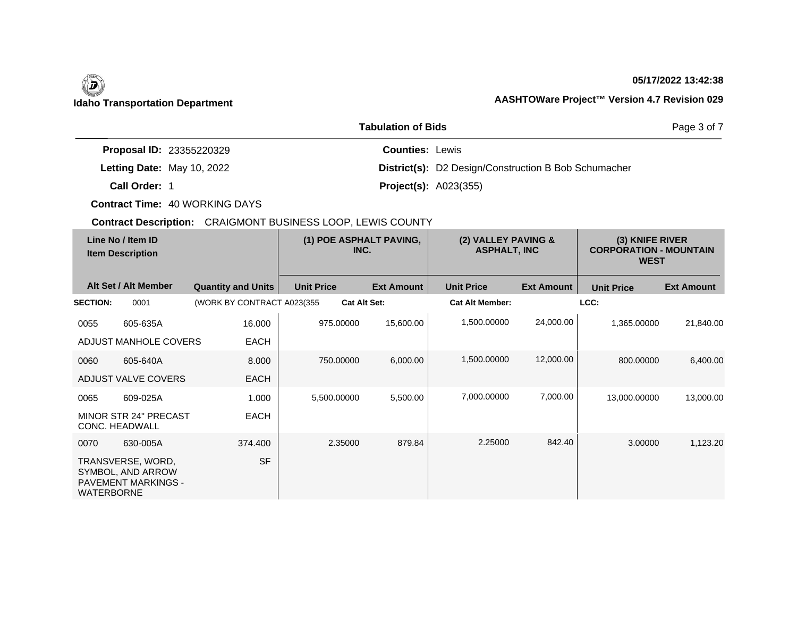## $\left(\begin{matrix} \n\end{matrix}\right)$

 $\overline{\phantom{a}}$ 

#### **05/17/2022 13:42:38**

### **Idaho Transportation Department AASHTOWare Project™ Version 4.7 Revision 029**

|                                 | Page 3 of 7                                                 |  |
|---------------------------------|-------------------------------------------------------------|--|
| <b>Proposal ID: 23355220329</b> | <b>Counties: Lewis</b>                                      |  |
| Letting Date: May 10, 2022      | <b>District(s):</b> D2 Design/Construction B Bob Schumacher |  |
| Call Order: 1                   | <b>Project(s):</b> $A023(355)$                              |  |

**Contract Time:** 40 WORKING DAYS

| Line No / Item ID<br><b>Item Description</b>                                                                  |                             |                   | (1) POE ASPHALT PAVING,<br>INC. |                        | (2) VALLEY PAVING &<br><b>ASPHALT, INC</b> |                   | (3) KNIFE RIVER<br><b>CORPORATION - MOUNTAIN</b><br><b>WEST</b> |  |
|---------------------------------------------------------------------------------------------------------------|-----------------------------|-------------------|---------------------------------|------------------------|--------------------------------------------|-------------------|-----------------------------------------------------------------|--|
| Alt Set / Alt Member                                                                                          | <b>Quantity and Units</b>   | <b>Unit Price</b> | <b>Ext Amount</b>               | <b>Unit Price</b>      | <b>Ext Amount</b>                          | <b>Unit Price</b> | <b>Ext Amount</b>                                               |  |
| <b>SECTION:</b><br>0001                                                                                       | (WORK BY CONTRACT A023(355) |                   | <b>Cat Alt Set:</b>             | <b>Cat Alt Member:</b> |                                            | LCC:              |                                                                 |  |
| 0055<br>605-635A<br>ADJUST MANHOLE COVERS                                                                     | 16.000<br><b>EACH</b>       | 975.00000         | 15,600.00                       | 1,500.00000            | 24,000.00                                  | 1,365.00000       | 21,840.00                                                       |  |
| 0060<br>605-640A<br>ADJUST VALVE COVERS                                                                       | 8.000<br><b>EACH</b>        | 750.00000         | 6,000.00                        | 1,500.00000            | 12,000.00                                  | 800.00000         | 6,400.00                                                        |  |
| 0065<br>609-025A<br><b>MINOR STR 24" PRECAST</b><br>CONC. HEADWALL                                            | 1.000<br><b>EACH</b>        | 5,500.00000       | 5,500.00                        | 7,000.00000            | 7,000.00                                   | 13,000.00000      | 13,000.00                                                       |  |
| 0070<br>630-005A<br>TRANSVERSE, WORD,<br>SYMBOL, AND ARROW<br><b>PAVEMENT MARKINGS -</b><br><b>WATERBORNE</b> | 374.400<br><b>SF</b>        | 2.35000           | 879.84                          | 2.25000                | 842.40                                     | 3.00000           | 1,123.20                                                        |  |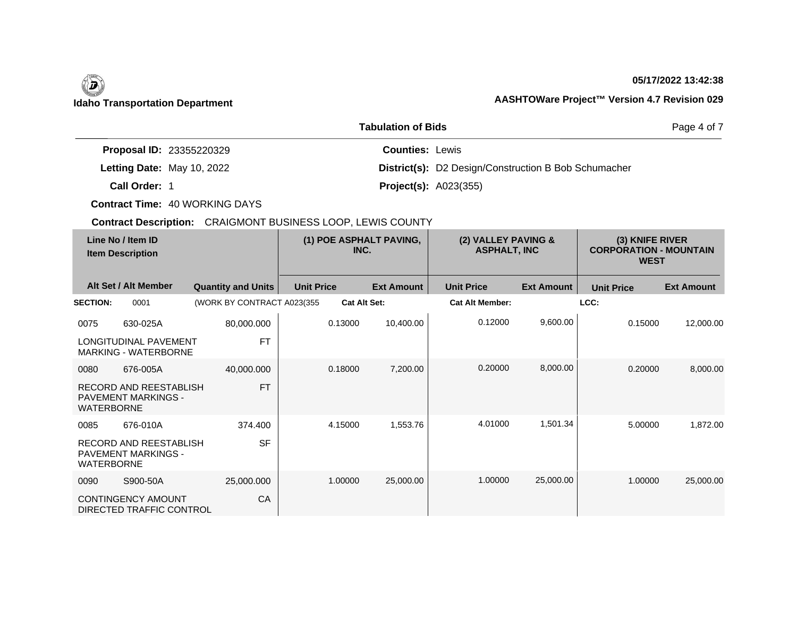## **Idaho Transportation Department AASHTOWare Project™ Version 4.7 Revision 029**

 $\overline{\phantom{a}}$ 

#### **05/17/2022 13:42:38**

|                                 | Page 4 of 7                                                 |  |
|---------------------------------|-------------------------------------------------------------|--|
| <b>Proposal ID: 23355220329</b> | <b>Counties: Lewis</b>                                      |  |
| Letting Date: May 10, 2022      | <b>District(s):</b> D2 Design/Construction B Bob Schumacher |  |
| Call Order: 1                   | <b>Project(s): A023(355)</b>                                |  |

**Contract Time:** 40 WORKING DAYS

| Line No / Item ID<br><b>Item Description</b> |                                                             | (1) POE ASPHALT PAVING,<br>INC. |                   | (2) VALLEY PAVING &<br><b>ASPHALT, INC</b> |                        | (3) KNIFE RIVER<br><b>CORPORATION - MOUNTAIN</b><br><b>WEST</b> |                   |                   |
|----------------------------------------------|-------------------------------------------------------------|---------------------------------|-------------------|--------------------------------------------|------------------------|-----------------------------------------------------------------|-------------------|-------------------|
|                                              | Alt Set / Alt Member                                        | <b>Quantity and Units</b>       | <b>Unit Price</b> | <b>Ext Amount</b>                          | <b>Unit Price</b>      | <b>Ext Amount</b>                                               | <b>Unit Price</b> | <b>Ext Amount</b> |
| <b>SECTION:</b>                              | 0001                                                        | (WORK BY CONTRACT A023(355)     |                   | <b>Cat Alt Set:</b>                        | <b>Cat Alt Member:</b> |                                                                 | LCC:              |                   |
| 0075                                         | 630-025A                                                    | 80,000.000                      |                   | 10,400.00<br>0.13000                       | 0.12000                | 9,600.00                                                        | 0.15000           | 12,000.00         |
|                                              | LONGITUDINAL PAVEMENT<br><b>MARKING - WATERBORNE</b>        | <b>FT</b>                       |                   |                                            |                        |                                                                 |                   |                   |
| 0080                                         | 676-005A                                                    | 40,000.000                      |                   | 0.18000<br>7,200.00                        | 0.20000                | 8,000.00                                                        | 0.20000           | 8,000.00          |
| <b>WATERBORNE</b>                            | <b>RECORD AND REESTABLISH</b><br><b>PAVEMENT MARKINGS -</b> | <b>FT</b>                       |                   |                                            |                        |                                                                 |                   |                   |
| 0085                                         | 676-010A                                                    | 374.400                         |                   | 4.15000<br>1,553.76                        | 4.01000                | 1,501.34                                                        | 5.00000           | 1,872.00          |
| <b>WATERBORNE</b>                            | <b>RECORD AND REESTABLISH</b><br>PAVEMENT MARKINGS -        | <b>SF</b>                       |                   |                                            |                        |                                                                 |                   |                   |
| 0090                                         | S900-50A                                                    | 25,000.000                      |                   | 1.00000<br>25,000.00                       | 1.00000                | 25,000.00                                                       | 1.00000           | 25,000.00         |
|                                              | <b>CONTINGENCY AMOUNT</b><br>DIRECTED TRAFFIC CONTROL       | CA                              |                   |                                            |                        |                                                                 |                   |                   |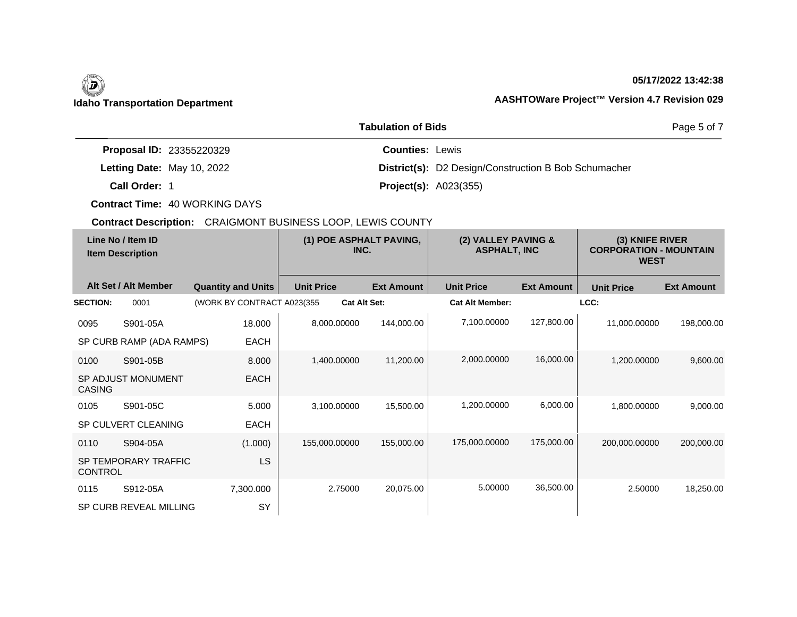#### **05/17/2022 13:42:38**

### **Idaho Transportation Department AASHTOWare Project™ Version 4.7 Revision 029**

|                                 | Page 5 of 7                                                 |  |
|---------------------------------|-------------------------------------------------------------|--|
| <b>Proposal ID: 23355220329</b> | <b>Counties: Lewis</b>                                      |  |
| Letting Date: May 10, 2022      | <b>District(s):</b> D2 Design/Construction B Bob Schumacher |  |
| Call Order: 1                   | <b>Project(s): A023(355)</b>                                |  |

**Contract Time:** 40 WORKING DAYS

| Line No / Item ID<br><b>Item Description</b> |                          | (1) POE ASPHALT PAVING,<br>INC. |                     | (2) VALLEY PAVING &<br><b>ASPHALT, INC</b> |                        | (3) KNIFE RIVER<br><b>CORPORATION - MOUNTAIN</b><br><b>WEST</b> |                   |                   |
|----------------------------------------------|--------------------------|---------------------------------|---------------------|--------------------------------------------|------------------------|-----------------------------------------------------------------|-------------------|-------------------|
|                                              | Alt Set / Alt Member     | <b>Quantity and Units</b>       | <b>Unit Price</b>   | <b>Ext Amount</b>                          | <b>Unit Price</b>      | <b>Ext Amount</b>                                               | <b>Unit Price</b> | <b>Ext Amount</b> |
| <b>SECTION:</b>                              | 0001                     | (WORK BY CONTRACT A023(355)     | <b>Cat Alt Set:</b> |                                            | <b>Cat Alt Member:</b> |                                                                 | LCC:              |                   |
| 0095                                         | S901-05A                 | 18.000                          | 8,000.00000         | 144,000.00                                 | 7,100.00000            | 127,800.00                                                      | 11,000.00000      | 198,000.00        |
|                                              | SP CURB RAMP (ADA RAMPS) | <b>EACH</b>                     |                     |                                            |                        |                                                                 |                   |                   |
| 0100                                         | S901-05B                 | 8.000                           | 1,400.00000         | 11,200.00                                  | 2,000.00000            | 16,000.00                                                       | 1,200.00000       | 9,600.00          |
| <b>CASING</b>                                | SP ADJUST MONUMENT       | <b>EACH</b>                     |                     |                                            |                        |                                                                 |                   |                   |
| 0105                                         | S901-05C                 | 5.000                           | 3,100.00000         | 15,500.00                                  | 1,200.00000            | 6,000.00                                                        | 1,800.00000       | 9,000.00          |
|                                              | SP CULVERT CLEANING      | <b>EACH</b>                     |                     |                                            |                        |                                                                 |                   |                   |
| 0110                                         | S904-05A                 | (1.000)                         | 155,000.00000       | 155,000.00                                 | 175,000.00000          | 175,000.00                                                      | 200,000.00000     | 200,000.00        |
| <b>CONTROL</b>                               | SP TEMPORARY TRAFFIC     | LS                              |                     |                                            |                        |                                                                 |                   |                   |
| 0115                                         | S912-05A                 | 7,300.000                       | 2.75000             | 20,075.00                                  | 5.00000                | 36,500.00                                                       | 2.50000           | 18,250.00         |
|                                              | SP CURB REVEAL MILLING   | SY                              |                     |                                            |                        |                                                                 |                   |                   |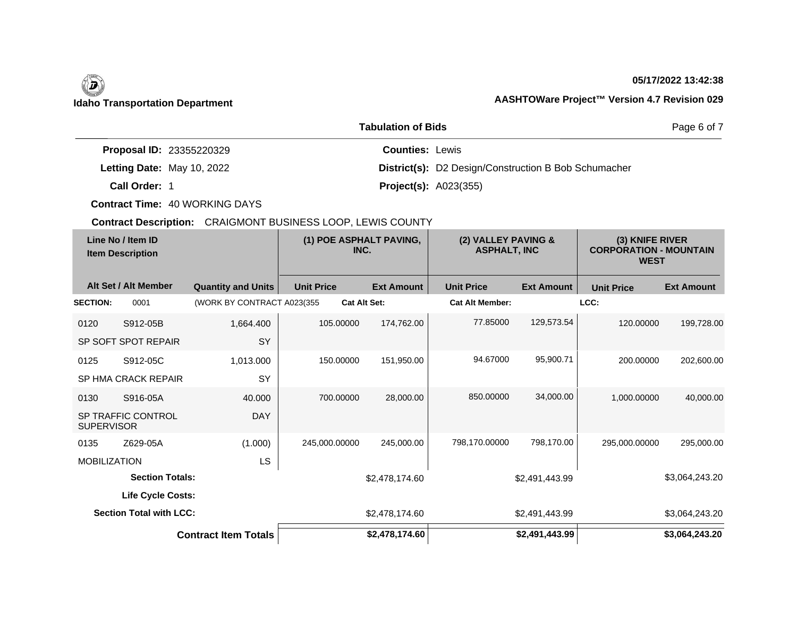#### **05/17/2022 13:42:38**

### **Idaho Transportation Department AASHTOWare Project™ Version 4.7 Revision 029**

|                                 | Page 6 of 7                                                 |  |
|---------------------------------|-------------------------------------------------------------|--|
| <b>Proposal ID: 23355220329</b> | <b>Counties: Lewis</b>                                      |  |
| Letting Date: May 10, 2022      | <b>District(s):</b> D2 Design/Construction B Bob Schumacher |  |
| Call Order: 1                   | <b>Project(s): A023(355)</b>                                |  |

**Contract Time:** 40 WORKING DAYS

|                     | Line No / Item ID<br><b>Item Description</b> |                             | (1) POE ASPHALT PAVING,<br>INC. |                   | (2) VALLEY PAVING &<br><b>ASPHALT, INC</b> |                   | (3) KNIFE RIVER<br><b>CORPORATION - MOUNTAIN</b><br><b>WEST</b> |                   |
|---------------------|----------------------------------------------|-----------------------------|---------------------------------|-------------------|--------------------------------------------|-------------------|-----------------------------------------------------------------|-------------------|
|                     | Alt Set / Alt Member                         | <b>Quantity and Units</b>   | <b>Unit Price</b>               | <b>Ext Amount</b> | <b>Unit Price</b>                          | <b>Ext Amount</b> | <b>Unit Price</b>                                               | <b>Ext Amount</b> |
| <b>SECTION:</b>     | 0001                                         | (WORK BY CONTRACT A023(355) | <b>Cat Alt Set:</b>             |                   | <b>Cat Alt Member:</b>                     |                   | LCC:                                                            |                   |
| 0120                | S912-05B                                     | 1,664.400                   | 105.00000                       | 174,762.00        | 77.85000                                   | 129,573.54        | 120.00000                                                       | 199,728.00        |
|                     | SP SOFT SPOT REPAIR                          | SY                          |                                 |                   |                                            |                   |                                                                 |                   |
| 0125                | S912-05C                                     | 1,013.000                   | 150.00000                       | 151,950.00        | 94.67000                                   | 95,900.71         | 200.00000                                                       | 202,600.00        |
|                     | <b>SP HMA CRACK REPAIR</b>                   | SY                          |                                 |                   |                                            |                   |                                                                 |                   |
| 0130                | S916-05A                                     | 40.000                      | 700.00000                       | 28,000.00         | 850,00000                                  | 34,000.00         | 1.000.00000                                                     | 40,000.00         |
| <b>SUPERVISOR</b>   | <b>SP TRAFFIC CONTROL</b>                    | <b>DAY</b>                  |                                 |                   |                                            |                   |                                                                 |                   |
| 0135                | Z629-05A                                     | (1.000)                     | 245,000.00000                   | 245,000.00        | 798,170.00000                              | 798,170.00        | 295,000.00000                                                   | 295,000.00        |
| <b>MOBILIZATION</b> |                                              | LS                          |                                 |                   |                                            |                   |                                                                 |                   |
|                     | <b>Section Totals:</b>                       |                             |                                 | \$2,478,174.60    |                                            | \$2,491,443.99    |                                                                 | \$3,064,243.20    |
|                     | <b>Life Cycle Costs:</b>                     |                             |                                 |                   |                                            |                   |                                                                 |                   |
|                     | <b>Section Total with LCC:</b>               |                             |                                 | \$2,478,174.60    |                                            | \$2,491,443.99    |                                                                 | \$3,064,243.20    |
|                     |                                              | <b>Contract Item Totals</b> |                                 | \$2,478,174.60    |                                            | \$2,491,443.99    |                                                                 | \$3,064,243.20    |